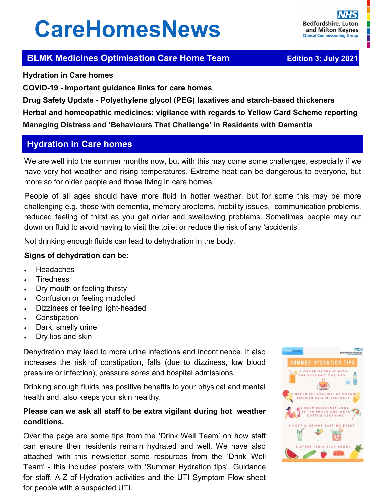# **CareHomesNews**

П

# **BLMK Medicines Optimisation Care Home Team <br><b>BLMK Medicines Optimisation Care Home Team** *Edition 3: July 2021*

**Hydration in Care homes** 

**COVID-19 - Important guidance links for care homes**

**Drug Safety Update - Polyethylene glycol (PEG) laxatives and starch-based thickeners Herbal and homeopathic medicines: vigilance with regards to Yellow Card Scheme reporting Managing Distress and 'Behaviours That Challenge' in Residents with Dementia** 

# **Hydration in Care homes**

We are well into the summer months now, but with this may come some challenges, especially if we have very hot weather and rising temperatures. Extreme heat can be dangerous to everyone, but more so for older people and those living in care homes.

People of all ages should have more fluid in hotter weather, but for some this may be more challenging e.g. those with dementia, memory problems, mobility issues, communication problems, reduced feeling of thirst as you get older and swallowing problems. Sometimes people may cut down on fluid to avoid having to visit the toilet or reduce the risk of any 'accidents'.

Not drinking enough fluids can lead to dehydration in the body.

## **Signs of dehydration can be:**

- Headaches
- **Tiredness**
- Dry mouth or feeling thirsty
- Confusion or feeling muddled
- Dizziness or feeling light-headed
- **Constipation**
- Dark, smelly urine
- Dry lips and skin

Dehydration may lead to more urine infections and incontinence. It also increases the risk of constipation, falls (due to dizziness, low blood pressure or infection), pressure sores and hospital admissions.

Drinking enough fluids has positive benefits to your physical and mental health and, also keeps your skin healthy.

## **Please can we ask all staff to be extra vigilant during hot weather conditions.**

Over the page are some tips from the 'Drink Well Team' on how staff can ensure their residents remain hydrated and well. We have also attached with this newsletter some resources from the 'Drink Well Team' - this includes posters with 'Summer Hydration tips', Guidance for staff, A-Z of Hydration activities and the UTI Symptom Flow sheet for people with a suspected UTI.

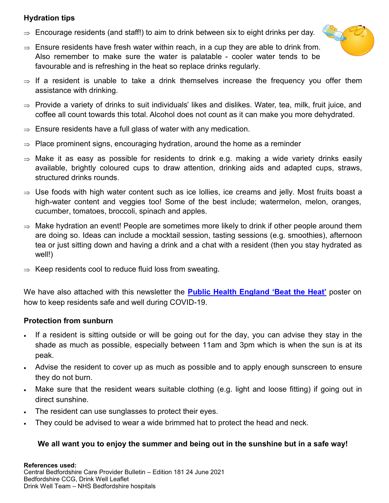## **Hydration tips**

- $\Rightarrow$  Encourage residents (and staff!) to aim to drink between six to eight drinks per day.
- $\Rightarrow$  Ensure residents have fresh water within reach, in a cup they are able to drink from. Also remember to make sure the water is palatable - cooler water tends to be favourable and is refreshing in the heat so replace drinks regularly.



- $\Rightarrow$  If a resident is unable to take a drink themselves increase the frequency you offer them assistance with drinking.
- $\Rightarrow$  Provide a variety of drinks to suit individuals' likes and dislikes. Water, tea, milk, fruit juice, and coffee all count towards this total. Alcohol does not count as it can make you more dehydrated.
- $\Rightarrow$  Ensure residents have a full glass of water with any medication.
- $\Rightarrow$  Place prominent signs, encouraging hydration, around the home as a reminder
- $\Rightarrow$  Make it as easy as possible for residents to drink e.g. making a wide variety drinks easily available, brightly coloured cups to draw attention, drinking aids and adapted cups, straws, structured drinks rounds.
- $\Rightarrow$  Use foods with high water content such as ice lollies, ice creams and jelly. Most fruits boast a high-water content and veggies too! Some of the best include; watermelon, melon, oranges, cucumber, tomatoes, broccoli, spinach and apples.
- $\Rightarrow$  Make hydration an event! People are sometimes more likely to drink if other people around them are doing so. Ideas can include a mocktail session, tasting sessions (e.g. smoothies), afternoon tea or just sitting down and having a drink and a chat with a resident (then you stay hydrated as well!)
- $\Rightarrow$  Keep residents cool to reduce fluid loss from sweating.

We have also attached with this newsletter the **[Public Health England](https://assets.publishing.service.gov.uk/government/uploads/system/uploads/attachment_data/file/888249/Heat_flier_Residents_2020.pdf) 'Beat the Heat'** poster on how to keep residents safe and well during COVID-19.

## **Protection from sunburn**

- If a resident is sitting outside or will be going out for the day, you can advise they stay in the shade as much as possible, especially between 11am and 3pm which is when the sun is at its peak.
- Advise the resident to cover up as much as possible and to apply enough sunscreen to ensure they do not burn.
- Make sure that the resident wears suitable clothing (e.g. light and loose fitting) if going out in direct sunshine.
- The resident can use sunglasses to protect their eyes.
- They could be advised to wear a wide brimmed hat to protect the head and neck.

## **We all want you to enjoy the summer and being out in the sunshine but in a safe way!**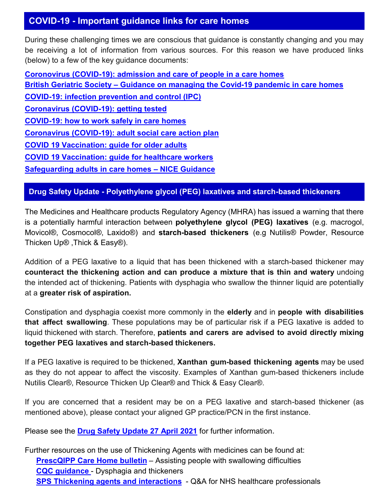# **COVID-19 - Important guidance links for care homes**

During these challenging times we are conscious that guidance is constantly changing and you may be receiving a lot of information from various sources. For this reason we have produced links (below) to a few of the key guidance documents:

**Coronovirus (COVID-[19\): admission and care of people in a care homes](https://www.gov.uk/government/publications/coronavirus-covid-19-admission-and-care-of-people-in-care-homes) British Geriatric Society – [Guidance on managing the Covid](https://www.bgs.org.uk/resources/covid-19-managing-the-covid-19-pandemic-in-care-homes)-19 pandemic in care homes COVID-[19: infection prevention and control \(IPC\)](https://www.gov.uk/government/publications/wuhan-novel-coronavirus-infection-prevention-and-control) [Coronavirus \(COVID](https://www.gov.uk/guidance/coronavirus-covid-19-getting-tested)-19): getting tested COVID-[19: how to work safely in care homes](https://www.gov.uk/government/publications/covid-19-how-to-work-safely-in-care-homes) Coronavirus (COVID-[19\): adult social care action plan](https://www.gov.uk/government/publications/coronavirus-covid-19-adult-social-care-action-plan) [COVID 19 Vaccination: guide for older adults](https://www.gov.uk/government/publications/covid-19-vaccination-guide-for-older-adults) [COVID 19 Vaccination: guide for healthcare workers](https://www.gov.uk/government/publications/covid-19-vaccination-guide-for-healthcare-workers/covid-19-vaccination-guide-for-healthcare-workers) [Safeguarding adults in care homes –](https://www.nice.org.uk/guidance/ng189) NICE Guidance** 

## **Drug Safety Update - Polyethylene glycol (PEG) laxatives and starch-based thickeners**

The Medicines and Healthcare products Regulatory Agency (MHRA) has issued a warning that there is a potentially harmful interaction between **polyethylene glycol (PEG) laxatives** (e.g. macrogol, Movicol®, Cosmocol®, Laxido®) and **starch-based thickeners** (e.g Nutilis® Powder, Resource Thicken Up® ,Thick & Easy®).

Addition of a PEG laxative to a liquid that has been thickened with a starch-based thickener may **counteract the thickening action and can produce a mixture that is thin and watery** undoing the intended act of thickening. Patients with dysphagia who swallow the thinner liquid are potentially at a **greater risk of aspiration.** 

Constipation and dysphagia coexist more commonly in the **elderly** and in **people with disabilities that affect swallowing**. These populations may be of particular risk if a PEG laxative is added to liquid thickened with starch. Therefore, **patients and carers are advised to avoid directly mixing together PEG laxatives and starch-based thickeners.**

If a PEG laxative is required to be thickened, **Xanthan gum-based thickening agents** may be used as they do not appear to affect the viscosity. Examples of Xanthan gum-based thickeners include Nutilis Clear®, Resource Thicken Up Clear® and Thick & Easy Clear®.

If you are concerned that a resident may be on a PEG laxative and starch-based thickener (as mentioned above), please contact your aligned GP practice/PCN in the first instance.

Please see the **[Drug Safety Update 27 April 2021](https://www.gov.uk/drug-safety-update/polyethylene-glycol-peg-laxatives-and-starch-based-thickeners-potential-interactive-effect-when-mixed-leading-to-an-increased-risk-of-aspiration)** for further information**.**

Further resources on the use of Thickening Agents with medicines can be found at: **[PrescQIPP Care Home bulletin](https://www.prescqipp.info/umbraco/surface/authorisedmediasurface/index?url=%2fmedia%2f1192%2fb188-care-homes-assisting-people-with-swallowing-difficulties-20.pdf)** – Assisting people with swallowing difficulties **[CQC guidance](https://www.cqc.org.uk/guidance-providers/adult-social-care/dysphagia-thickeners)** - Dysphagia and thickeners **[SPS Thickening agents and interactions](https://www.sps.nhs.uk/wp-content/uploads/2020/09/UKMi_QA_Thickening-agents-and-interactions-_June-2020.pdf)** - Q&A for NHS healthcare professionals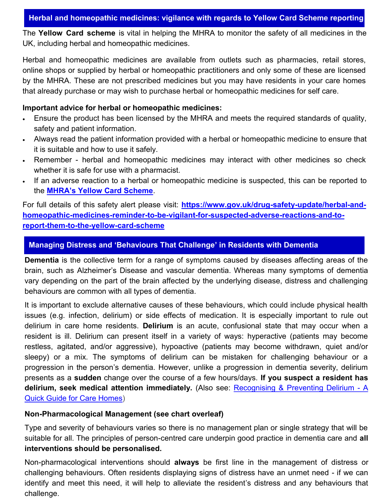The **Yellow Card scheme** is vital in helping the MHRA to monitor the safety of all medicines in the UK, including herbal and homeopathic medicines.

Herbal and homeopathic medicines are available from outlets such as pharmacies, retail stores, online shops or supplied by herbal or homeopathic practitioners and only some of these are licensed by the MHRA. These are not prescribed medicines but you may have residents in your care homes that already purchase or may wish to purchase herbal or homeopathic medicines for self care.

### **Important advice for herbal or homeopathic medicines:**

- Ensure the product has been licensed by the MHRA and meets the required standards of quality, safety and patient information.
- Always read the patient information provided with a herbal or homeopathic medicine to ensure that it is suitable and how to use it safely.
- Remember herbal and homeopathic medicines may interact with other medicines so check whether it is safe for use with a pharmacist.
- If an adverse reaction to a herbal or homeopathic medicine is suspected, this can be reported to the **MHRA'[s Yellow Card Scheme](https://yellowcard.mhra.gov.uk/the-yellow-card-scheme)**.

For full details of this safety alert please visit: **[https://www.gov.uk/drug](https://www.gov.uk/drug-safety-update/herbal-and-homeopathic-medicines-reminder-to-be-vigilant-for-suspected-adverse-reactions-and-to-report-them-to-the-yellow-card-scheme)-safety-update/herbal-and**[homeopathic](https://www.gov.uk/drug-safety-update/herbal-and-homeopathic-medicines-reminder-to-be-vigilant-for-suspected-adverse-reactions-and-to-report-them-to-the-yellow-card-scheme)-medicines-reminder-to-be-vigilant-for-suspected-adverse-reactions-and-to**report-them-to-the-yellow-card-[scheme](https://www.gov.uk/drug-safety-update/herbal-and-homeopathic-medicines-reminder-to-be-vigilant-for-suspected-adverse-reactions-and-to-report-them-to-the-yellow-card-scheme)**

## **Managing Distress and 'Behaviours That Challenge' in Residents with Dementia**

**Dementia** is the collective term for a range of symptoms caused by diseases affecting areas of the brain, such as Alzheimer's Disease and vascular dementia. Whereas many symptoms of dementia vary depending on the part of the brain affected by the underlying disease, distress and challenging behaviours are common with all types of dementia.

It is important to exclude alternative causes of these behaviours, which could include physical health issues (e.g. infection, delirium) or side effects of medication. It is especially important to rule out delirium in care home residents. **Delirium** is an acute, confusional state that may occur when a resident is ill. Delirium can present itself in a variety of ways: hyperactive (patients may become restless, agitated, and/or aggressive), hypoactive (patients may become withdrawn, quiet and/or sleepy) or a mix. The symptoms of delirium can be mistaken for challenging behaviour or a progression in the person's dementia. However, unlike a progression in dementia severity, delirium presents as a **sudden** change over the course of a few hours/days. **If you suspect a resident has delirium, seek medical attention immediately.** (Also see: [Recognising & Preventing Delirium](https://www.nice.org.uk/about/nice-communities/social-care/quick-guides/recognising-and-preventing-delirium) - A [Quick Guide for Care Homes\)](https://www.nice.org.uk/about/nice-communities/social-care/quick-guides/recognising-and-preventing-delirium)

#### **Non-Pharmacological Management (see chart overleaf)**

Type and severity of behaviours varies so there is no management plan or single strategy that will be suitable for all. The principles of person-centred care underpin good practice in dementia care and **all interventions should be personalised.** 

Non-pharmacological interventions should **always** be first line in the management of distress or challenging behaviours. Often residents displaying signs of distress have an unmet need - if we can identify and meet this need, it will help to alleviate the resident's distress and any behaviours that challenge.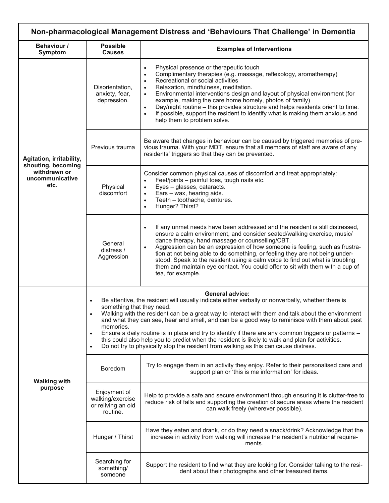| Non-pharmacological Management Distress and 'Behaviours That Challenge' in Dementia       |                                                                                                                                                                                                                                                                                                                                                                                                                                                                                                                                                                                                                                                                                                                                      |                                                                                                                                                                                                                                                                                                                                                                                                                                                                                                                                                                                                                                 |
|-------------------------------------------------------------------------------------------|--------------------------------------------------------------------------------------------------------------------------------------------------------------------------------------------------------------------------------------------------------------------------------------------------------------------------------------------------------------------------------------------------------------------------------------------------------------------------------------------------------------------------------------------------------------------------------------------------------------------------------------------------------------------------------------------------------------------------------------|---------------------------------------------------------------------------------------------------------------------------------------------------------------------------------------------------------------------------------------------------------------------------------------------------------------------------------------------------------------------------------------------------------------------------------------------------------------------------------------------------------------------------------------------------------------------------------------------------------------------------------|
| Behaviour /<br><b>Symptom</b>                                                             | <b>Possible</b><br><b>Causes</b>                                                                                                                                                                                                                                                                                                                                                                                                                                                                                                                                                                                                                                                                                                     | <b>Examples of Interventions</b>                                                                                                                                                                                                                                                                                                                                                                                                                                                                                                                                                                                                |
| Agitation, irritability,<br>shouting, becoming<br>withdrawn or<br>uncommunicative<br>etc. | Disorientation,<br>anxiety, fear,<br>depression.                                                                                                                                                                                                                                                                                                                                                                                                                                                                                                                                                                                                                                                                                     | Physical presence or therapeutic touch<br>$\bullet$<br>Complimentary therapies (e.g. massage, reflexology, aromatherapy)<br>$\bullet$<br>Recreational or social activities<br>$\bullet$<br>Relaxation, mindfulness, meditation.<br>$\bullet$<br>Environmental interventions design and layout of physical environment (for<br>$\bullet$<br>example, making the care home homely, photos of family)<br>Day/night routine – this provides structure and helps residents orient to time.<br>$\bullet$<br>If possible, support the resident to identify what is making them anxious and<br>$\bullet$<br>help them to problem solve. |
|                                                                                           | Previous trauma                                                                                                                                                                                                                                                                                                                                                                                                                                                                                                                                                                                                                                                                                                                      | Be aware that changes in behaviour can be caused by triggered memories of pre-<br>vious trauma. With your MDT, ensure that all members of staff are aware of any<br>residents' triggers so that they can be prevented.                                                                                                                                                                                                                                                                                                                                                                                                          |
|                                                                                           | Physical<br>discomfort                                                                                                                                                                                                                                                                                                                                                                                                                                                                                                                                                                                                                                                                                                               | Consider common physical causes of discomfort and treat appropriately:<br>Feet/joints - painful toes, tough nails etc.<br>Eyes - glasses, cataracts.<br>$\bullet$<br>Ears - wax, hearing aids.<br>$\bullet$<br>Teeth - toothache, dentures.<br>$\bullet$<br>Hunger? Thirst?<br>$\bullet$                                                                                                                                                                                                                                                                                                                                        |
|                                                                                           | General<br>distress /<br>Aggression                                                                                                                                                                                                                                                                                                                                                                                                                                                                                                                                                                                                                                                                                                  | If any unmet needs have been addressed and the resident is still distressed,<br>$\bullet$<br>ensure a calm environment, and consider seated/walking exercise, music/<br>dance therapy, hand massage or counselling/CBT.<br>Aggression can be an expression of how someone is feeling, such as frustra-<br>$\bullet$<br>tion at not being able to do something, or feeling they are not being under-<br>stood. Speak to the resident using a calm voice to find out what is troubling<br>them and maintain eye contact. You could offer to sit with them with a cup of<br>tea, for example.                                      |
| <b>Walking with</b><br>purpose                                                            | <b>General advice:</b><br>Be attentive, the resident will usually indicate either verbally or nonverbally, whether there is<br>$\bullet$<br>something that they need.<br>Walking with the resident can be a great way to interact with them and talk about the environment<br>$\bullet$<br>and what they can see, hear and smell, and can be a good way to reminisce with them about past<br>memories.<br>Ensure a daily routine is in place and try to identify if there are any common triggers or patterns -<br>$\bullet$<br>this could also help you to predict when the resident is likely to walk and plan for activities.<br>Do not try to physically stop the resident from walking as this can cause distress.<br>$\bullet$ |                                                                                                                                                                                                                                                                                                                                                                                                                                                                                                                                                                                                                                 |
|                                                                                           | Boredom                                                                                                                                                                                                                                                                                                                                                                                                                                                                                                                                                                                                                                                                                                                              | Try to engage them in an activity they enjoy. Refer to their personalised care and<br>support plan or 'this is me information' for ideas.                                                                                                                                                                                                                                                                                                                                                                                                                                                                                       |
|                                                                                           | Enjoyment of<br>walking/exercise<br>or reliving an old<br>routine.                                                                                                                                                                                                                                                                                                                                                                                                                                                                                                                                                                                                                                                                   | Help to provide a safe and secure environment through ensuring it is clutter-free to<br>reduce risk of falls and supporting the creation of secure areas where the resident<br>can walk freely (wherever possible).                                                                                                                                                                                                                                                                                                                                                                                                             |
|                                                                                           | Hunger / Thirst                                                                                                                                                                                                                                                                                                                                                                                                                                                                                                                                                                                                                                                                                                                      | Have they eaten and drank, or do they need a snack/drink? Acknowledge that the<br>increase in activity from walking will increase the resident's nutritional require-<br>ments.                                                                                                                                                                                                                                                                                                                                                                                                                                                 |
|                                                                                           | Searching for<br>something/<br>someone                                                                                                                                                                                                                                                                                                                                                                                                                                                                                                                                                                                                                                                                                               | Support the resident to find what they are looking for. Consider talking to the resi-<br>dent about their photographs and other treasured items.                                                                                                                                                                                                                                                                                                                                                                                                                                                                                |